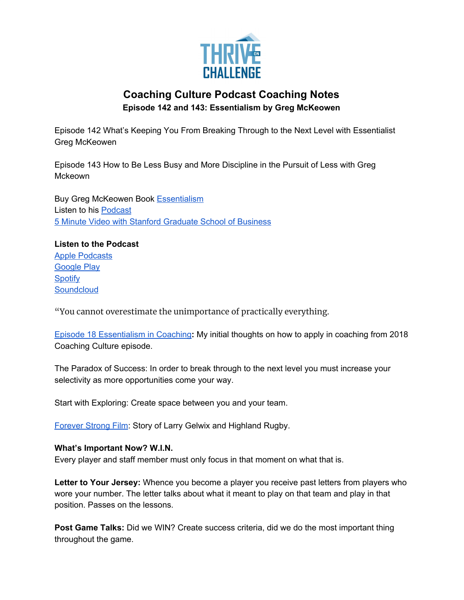

## **Coaching Culture Podcast Coaching Notes Episode 142 and 143: Essentialism by Greg McKeowen**

Episode 142 What's Keeping You From Breaking Through to the Next Level with Essentialist Greg McKeowen

Episode 143 How to Be Less Busy and More Discipline in the Pursuit of Less with Greg Mckeown

Buy Greg McKeowen Book [Essentialism](https://www.amazon.com/Essentialism-Disciplined-Pursuit-Greg-McKeown-ebook/dp/B00G1J1D28/ref=sr_1_2?crid=2CKCY4LKHA26H&dchild=1&keywords=essentialism+by+greg+mckeown&qid=1591519896&sprefix=greg+mckeo%2Caps%2C282&sr=8-2) Listen to his [Podcast](https://gregmckeown.com/podcast/) 5 Minute Video with Stanford [Graduate](https://www.youtube.com/watch?v=T9x6D09AKBU) School of Business

**Listen to the Podcast** Apple [Podcasts](https://podcasts.apple.com/us/podcast/142-whats-keeping-you-from-breaking-through-to-next/id1286560192?i=1000477103318) [Google](https://podcasts.google.com/feed/aHR0cHM6Ly9mZWVkcy5zb3VuZGNsb3VkLmNvbS91c2Vycy9zb3VuZGNsb3VkOnVzZXJzOjQxMDQyNzcvc291bmRzLnJzcw/episode/dGFnOnNvdW5kY2xvdWQsMjAxMDp0cmFja3MvODM1NjgyNzg1?ved=0CAcQ38oDahcKEwiAhauP2PrpAhUAAAAAHQAAAAAQAQ) Play **[Spotify](https://open.spotify.com/episode/5DBQDAuUqva8yYVT9fwVjI) [Soundcloud](https://soundcloud.com/thriveonchallenge/142-whats-keeping-you-from-breaking-through-to-the-next-level-with-essentialist-greg-mckeowen)** 

"You cannot overestimate the unimportance of practically everything.

Episode 18 [Essentialism](https://podcasts.apple.com/ie/podcast/episode-18-essentialism-in-coaching/id1286560192?i=1000400424537) in Coaching**:** My initial thoughts on how to apply in coaching from 2018 Coaching Culture episode.

The Paradox of Success: In order to break through to the next level you must increase your selectivity as more opportunities come your way.

Start with Exploring: Create space between you and your team.

[Forever](https://www.imdb.com/title/tt0840322/) Strong Film: Story of Larry Gelwix and Highland Rugby.

## **What's Important Now? W.I.N.**

Every player and staff member must only focus in that moment on what that is.

**Letter to Your Jersey:** Whence you become a player you receive past letters from players who wore your number. The letter talks about what it meant to play on that team and play in that position. Passes on the lessons.

**Post Game Talks:** Did we WIN? Create success criteria, did we do the most important thing throughout the game.